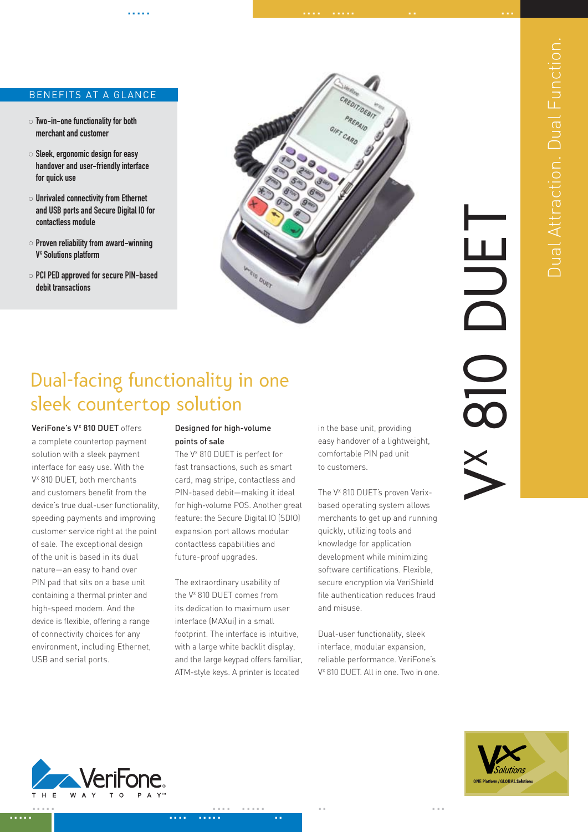# BENEFITS AT A GLANCE

- Two-in-one functionality for both merchant and customer
- $\circ$  Sleek, ergonomic design for easy handover and user-friendly interface for quick use
- $\circ$  Unrivaled connectivity from Ethernet and USB ports and Secure Digital IO for contactless module
- $\circ$  Proven reliability from award-winning V<sup>x</sup> Solutions platform
- PCI PED approved for secure PIN-based debit transactions



..... .... ..... .. ...

# Dual Attraction. Dual Function. **Dual Attraction. Dual Function**

# Dual-facing functionality in one sleek countertop solution

VeriFone's V<sup>x</sup> 810 DUET offers a complete countertop payment solution with a sleek payment interface for easy use. With the V<sup>x</sup> 810 DUET, both merchants and customers benefit from the device's true dual-user functionality, speeding payments and improving customer service right at the point of sale. The exceptional design of the unit is based in its dual nature—an easy to hand over PIN pad that sits on a base unit containing a thermal printer and high-speed modem. And the device is flexible, offering a range of connectivity choices for any environment, including Ethernet, USB and serial ports.

### Designed for high-volume points of sale

The V<sup>x</sup> 810 DUET is perfect for fast transactions, such as smart card, mag stripe, contactless and PIN-based debit—making it ideal for high-volume POS. Another great feature: the Secure Digital IO (SDIO) expansion port allows modular contactless capabilities and future-proof upgrades.

The extraordinary usability of the V<sup>x</sup> 810 DUET comes from its dedication to maximum user interface (MAXui) in a small footprint. The interface is intuitive, with a large white backlit display, and the large keypad offers familiar, ATM-style keys. A printer is located

in the base unit, providing easy handover of a lightweight, comfortable PIN pad unit to customers.

The V<sup>x</sup> 810 DUET's proven Verixbased operating system allows merchants to get up and running quickly, utilizing tools and knowledge for application development while minimizing software certifications. Flexible, secure encryption via VeriShield file authentication reduces fraud and misuse.

Dual-user functionality, sleek interface, modular expansion, reliable performance. VeriFone's V<sup>x</sup> 810 DUET. All in one. Two in one.



t